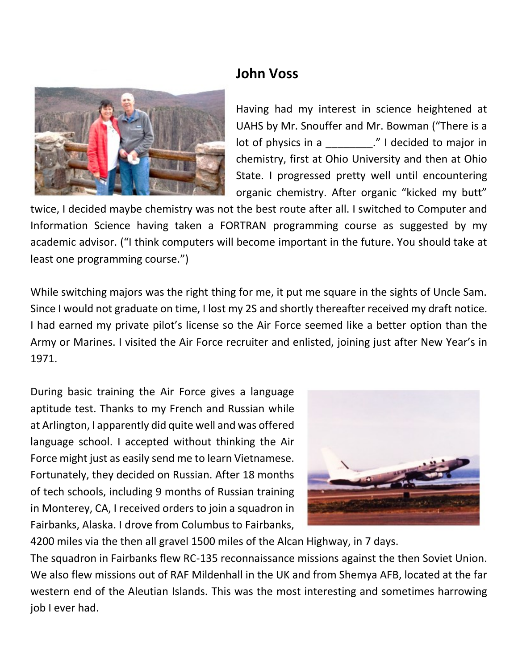## **John Voss**



Having had my interest in science heightened at UAHS by Mr. Snouffer and Mr. Bowman ("There is a lot of physics in a z and metallical community of physics in a set of  $\alpha$ ." I decided to major in chemistry, first at Ohio University and then at Ohio State. I progressed pretty well until encountering organic chemistry. After organic "kicked my butt"

twice, I decided maybe chemistry was not the best route after all. I switched to Computer and Information Science having taken a FORTRAN programming course as suggested by my academic advisor. ("I think computers will become important in the future. You should take at least one programming course.")

While switching majors was the right thing for me, it put me square in the sights of Uncle Sam. Since I would not graduate on time, I lost my 2S and shortly thereafter received my draft notice. I had earned my private pilot's license so the Air Force seemed like a better option than the Army or Marines. I visited the Air Force recruiter and enlisted, joining just after New Year's in 1971.

During basic training the Air Force gives a language aptitude test. Thanks to my French and Russian while at Arlington, I apparently did quite well and was offered language school. I accepted without thinking the Air Force might just as easily send me to learn Vietnamese. Fortunately, they decided on Russian. After 18 months of tech schools, including 9 months of Russian training in Monterey, CA, I received orders to join a squadron in Fairbanks, Alaska. I drove from Columbus to Fairbanks,



4200 miles via the then all gravel 1500 miles of the Alcan Highway, in 7 days.

The squadron in Fairbanks flew RC-135 reconnaissance missions against the then Soviet Union. We also flew missions out of RAF Mildenhall in the UK and from Shemya AFB, located at the far western end of the Aleutian Islands. This was the most interesting and sometimes harrowing job I ever had.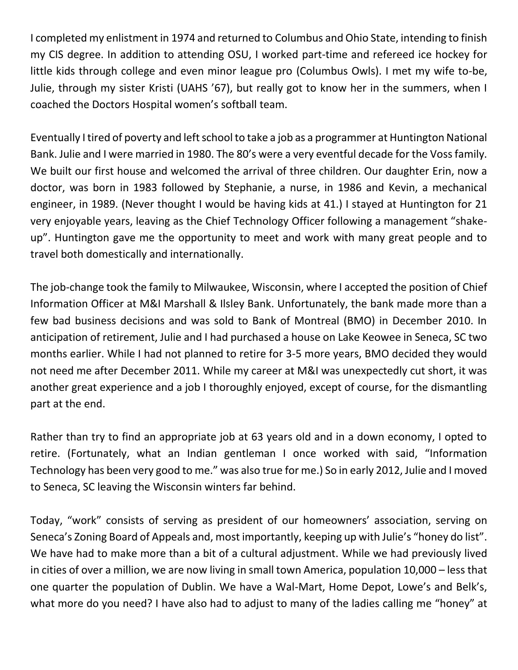I completed my enlistment in 1974 and returned to Columbus and Ohio State, intending to finish my CIS degree. In addition to attending OSU, I worked part-time and refereed ice hockey for little kids through college and even minor league pro (Columbus Owls). I met my wife to-be, Julie, through my sister Kristi (UAHS '67), but really got to know her in the summers, when I coached the Doctors Hospital women's softball team.

Eventually I tired of poverty and left school to take a job as a programmer at Huntington National Bank. Julie and I were married in 1980. The 80's were a very eventful decade for the Voss family. We built our first house and welcomed the arrival of three children. Our daughter Erin, now a doctor, was born in 1983 followed by Stephanie, a nurse, in 1986 and Kevin, a mechanical engineer, in 1989. (Never thought I would be having kids at 41.) I stayed at Huntington for 21 very enjoyable years, leaving as the Chief Technology Officer following a management "shakeup". Huntington gave me the opportunity to meet and work with many great people and to travel both domestically and internationally.

The job-change took the family to Milwaukee, Wisconsin, where I accepted the position of Chief Information Officer at M&I Marshall & Ilsley Bank. Unfortunately, the bank made more than a few bad business decisions and was sold to Bank of Montreal (BMO) in December 2010. In anticipation of retirement, Julie and I had purchased a house on Lake Keowee in Seneca, SC two months earlier. While I had not planned to retire for 3-5 more years, BMO decided they would not need me after December 2011. While my career at M&I was unexpectedly cut short, it was another great experience and a job I thoroughly enjoyed, except of course, for the dismantling part at the end.

Rather than try to find an appropriate job at 63 years old and in a down economy, I opted to retire. (Fortunately, what an Indian gentleman I once worked with said, "Information Technology has been very good to me." was also true for me.) So in early 2012, Julie and I moved to Seneca, SC leaving the Wisconsin winters far behind.

Today, "work" consists of serving as president of our homeowners' association, serving on Seneca's Zoning Board of Appeals and, most importantly, keeping up with Julie's "honey do list". We have had to make more than a bit of a cultural adjustment. While we had previously lived in cities of over a million, we are now living in small town America, population 10,000 – less that one quarter the population of Dublin. We have a Wal-Mart, Home Depot, Lowe's and Belk's, what more do you need? I have also had to adjust to many of the ladies calling me "honey" at